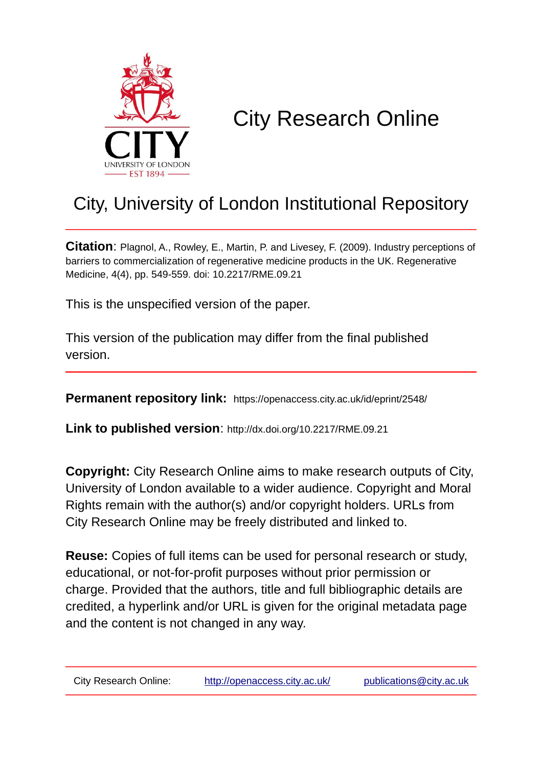

# City Research Online

## City, University of London Institutional Repository

**Citation**: Plagnol, A., Rowley, E., Martin, P. and Livesey, F. (2009). Industry perceptions of barriers to commercialization of regenerative medicine products in the UK. Regenerative Medicine, 4(4), pp. 549-559. doi: 10.2217/RME.09.21

This is the unspecified version of the paper.

This version of the publication may differ from the final published version.

**Permanent repository link:** https://openaccess.city.ac.uk/id/eprint/2548/

**Link to published version**: http://dx.doi.org/10.2217/RME.09.21

**Copyright:** City Research Online aims to make research outputs of City, University of London available to a wider audience. Copyright and Moral Rights remain with the author(s) and/or copyright holders. URLs from City Research Online may be freely distributed and linked to.

**Reuse:** Copies of full items can be used for personal research or study, educational, or not-for-profit purposes without prior permission or charge. Provided that the authors, title and full bibliographic details are credited, a hyperlink and/or URL is given for the original metadata page and the content is not changed in any way.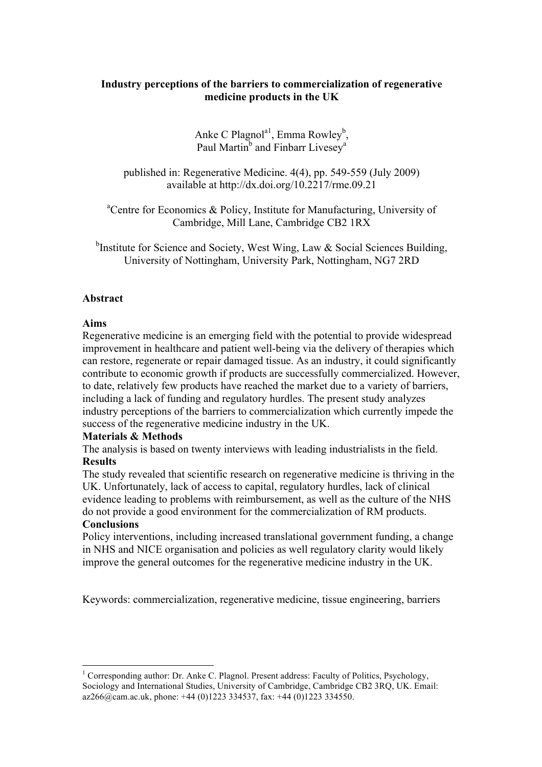## **Industry perceptions of the barriers to commercialization of regenerative medicine products in the UK**

Anke C Plagnol<sup>a1</sup>, Emma Rowley<sup>b</sup>, Paul Martin<sup>b</sup> and Finbarr Livesey<sup>a</sup>

published in: Regenerative Medicine. 4(4), pp. 549-559 (July 2009) available at http://dx.doi.org/10.2217/rme.09.21

<sup>a</sup>Centre for Economics & Policy, Institute for Manufacturing, University of Cambridge, Mill Lane, Cambridge CB2 1RX

<sup>b</sup>Institute for Science and Society, West Wing, Law & Social Sciences Building, University of Nottingham, University Park, Nottingham, NG7 2RD

## **Abstract**

## **Aims**

Regenerative medicine is an emerging field with the potential to provide widespread improvement in healthcare and patient well-being via the delivery of therapies which can restore, regenerate or repair damaged tissue. As an industry, it could significantly contribute to economic growth if products are successfully commercialized. However, to date, relatively few products have reached the market due to a variety of barriers, including a lack of funding and regulatory hurdles. The present study analyzes industry perceptions of the barriers to commercialization which currently impede the success of the regenerative medicine industry in the UK.

## **Materials & Methods**

The analysis is based on twenty interviews with leading industrialists in the field. **Results**

The study revealed that scientific research on regenerative medicine is thriving in the UK. Unfortunately, lack of access to capital, regulatory hurdles, lack of clinical evidence leading to problems with reimbursement, as well as the culture of the NHS do not provide a good environment for the commercialization of RM products.

## **Conclusions**

Policy interventions, including increased translational government funding, a change in NHS and NICE organisation and policies as well regulatory clarity would likely improve the general outcomes for the regenerative medicine industry in the UK.

Keywords: commercialization, regenerative medicine, tissue engineering, barriers

<sup>1</sup> Corresponding author: Dr. Anke C. Plagnol. Present address: Faculty of Politics, Psychology, Sociology and International Studies, University of Cambridge, Cambridge CB2 3RQ, UK. Email:  $a$ z266@cam.ac.uk, phone: +44 (0)1223 334537, fax: +44 (0)1223 334550.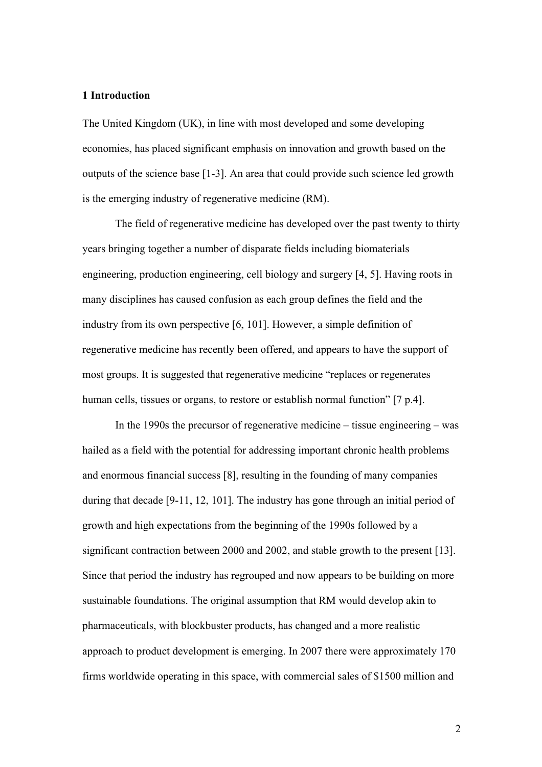## **1 Introduction**

The United Kingdom (UK), in line with most developed and some developing economies, has placed significant emphasis on innovation and growth based on the outputs of the science base [1-3]. An area that could provide such science led growth is the emerging industry of regenerative medicine (RM).

The field of regenerative medicine has developed over the past twenty to thirty years bringing together a number of disparate fields including biomaterials engineering, production engineering, cell biology and surgery [4, 5]. Having roots in many disciplines has caused confusion as each group defines the field and the industry from its own perspective [6, 101]. However, a simple definition of regenerative medicine has recently been offered, and appears to have the support of most groups. It is suggested that regenerative medicine "replaces or regenerates human cells, tissues or organs, to restore or establish normal function" [7 p.4].

In the 1990s the precursor of regenerative medicine – tissue engineering – was hailed as a field with the potential for addressing important chronic health problems and enormous financial success [8], resulting in the founding of many companies during that decade [9-11, 12, 101]. The industry has gone through an initial period of growth and high expectations from the beginning of the 1990s followed by a significant contraction between 2000 and 2002, and stable growth to the present [13]. Since that period the industry has regrouped and now appears to be building on more sustainable foundations. The original assumption that RM would develop akin to pharmaceuticals, with blockbuster products, has changed and a more realistic approach to product development is emerging. In 2007 there were approximately 170 firms worldwide operating in this space, with commercial sales of \$1500 million and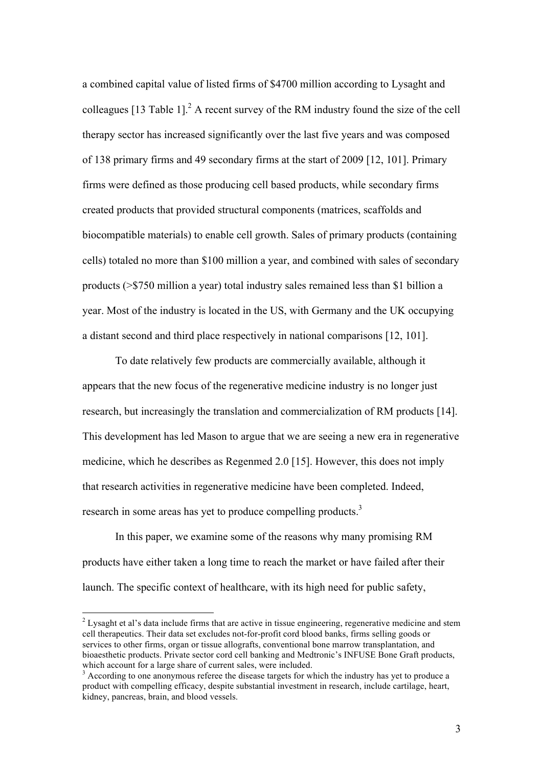a combined capital value of listed firms of \$4700 million according to Lysaght and colleagues [13 Table 1]. $^2$  A recent survey of the RM industry found the size of the cell therapy sector has increased significantly over the last five years and was composed of 138 primary firms and 49 secondary firms at the start of 2009 [12, 101]. Primary firms were defined as those producing cell based products, while secondary firms created products that provided structural components (matrices, scaffolds and biocompatible materials) to enable cell growth. Sales of primary products (containing cells) totaled no more than \$100 million a year, and combined with sales of secondary products (>\$750 million a year) total industry sales remained less than \$1 billion a year. Most of the industry is located in the US, with Germany and the UK occupying a distant second and third place respectively in national comparisons [12, 101].

To date relatively few products are commercially available, although it appears that the new focus of the regenerative medicine industry is no longer just research, but increasingly the translation and commercialization of RM products [14]. This development has led Mason to argue that we are seeing a new era in regenerative medicine, which he describes as Regenmed 2.0 [15]. However, this does not imply that research activities in regenerative medicine have been completed. Indeed, research in some areas has yet to produce compelling products.<sup>3</sup>

In this paper, we examine some of the reasons why many promising RM products have either taken a long time to reach the market or have failed after their launch. The specific context of healthcare, with its high need for public safety,

<sup>&</sup>lt;sup>2</sup> Lysaght et al's data include firms that are active in tissue engineering, regenerative medicine and stem cell therapeutics. Their data set excludes not-for-profit cord blood banks, firms selling goods or services to other firms, organ or tissue allografts, conventional bone marrow transplantation, and bioaesthetic products. Private sector cord cell banking and Medtronic's INFUSE Bone Graft products, which account for a large share of current sales, were included.

<sup>&</sup>lt;sup>3</sup> According to one anonymous referee the disease targets for which the industry has yet to produce a product with compelling efficacy, despite substantial investment in research, include cartilage, heart, kidney, pancreas, brain, and blood vessels.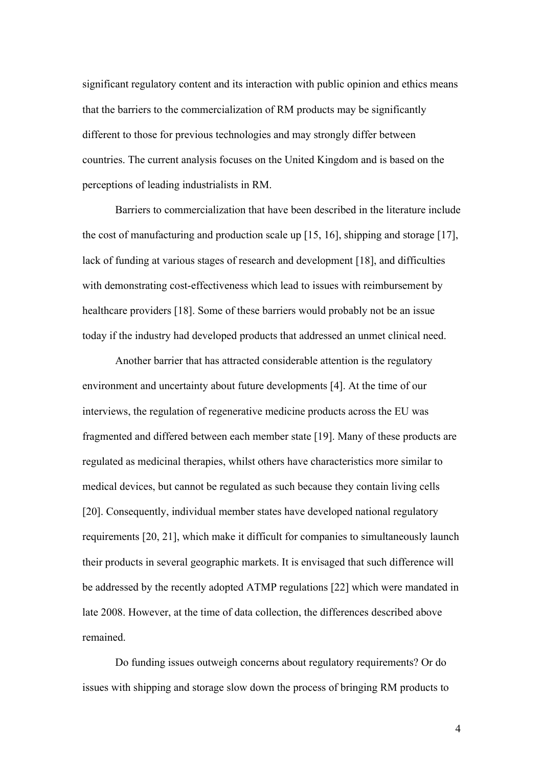significant regulatory content and its interaction with public opinion and ethics means that the barriers to the commercialization of RM products may be significantly different to those for previous technologies and may strongly differ between countries. The current analysis focuses on the United Kingdom and is based on the perceptions of leading industrialists in RM.

Barriers to commercialization that have been described in the literature include the cost of manufacturing and production scale up [15, 16], shipping and storage [17], lack of funding at various stages of research and development [18], and difficulties with demonstrating cost-effectiveness which lead to issues with reimbursement by healthcare providers [18]. Some of these barriers would probably not be an issue today if the industry had developed products that addressed an unmet clinical need.

Another barrier that has attracted considerable attention is the regulatory environment and uncertainty about future developments [4]. At the time of our interviews, the regulation of regenerative medicine products across the EU was fragmented and differed between each member state [19]. Many of these products are regulated as medicinal therapies, whilst others have characteristics more similar to medical devices, but cannot be regulated as such because they contain living cells [20]. Consequently, individual member states have developed national regulatory requirements [20, 21], which make it difficult for companies to simultaneously launch their products in several geographic markets. It is envisaged that such difference will be addressed by the recently adopted ATMP regulations [22] which were mandated in late 2008. However, at the time of data collection, the differences described above remained.

Do funding issues outweigh concerns about regulatory requirements? Or do issues with shipping and storage slow down the process of bringing RM products to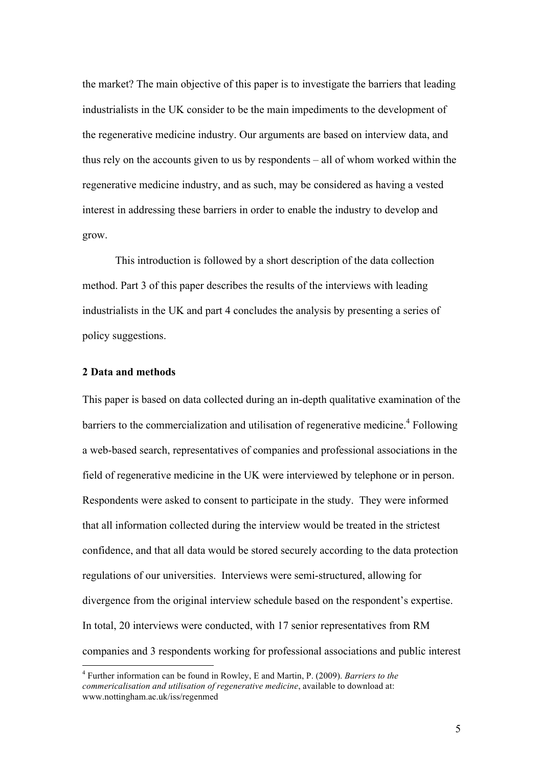the market? The main objective of this paper is to investigate the barriers that leading industrialists in the UK consider to be the main impediments to the development of the regenerative medicine industry. Our arguments are based on interview data, and thus rely on the accounts given to us by respondents – all of whom worked within the regenerative medicine industry, and as such, may be considered as having a vested interest in addressing these barriers in order to enable the industry to develop and grow.

This introduction is followed by a short description of the data collection method. Part 3 of this paper describes the results of the interviews with leading industrialists in the UK and part 4 concludes the analysis by presenting a series of policy suggestions.

#### **2 Data and methods**

This paper is based on data collected during an in-depth qualitative examination of the barriers to the commercialization and utilisation of regenerative medicine.<sup>4</sup> Following a web-based search, representatives of companies and professional associations in the field of regenerative medicine in the UK were interviewed by telephone or in person. Respondents were asked to consent to participate in the study. They were informed that all information collected during the interview would be treated in the strictest confidence, and that all data would be stored securely according to the data protection regulations of our universities. Interviews were semi-structured, allowing for divergence from the original interview schedule based on the respondent's expertise. In total, 20 interviews were conducted, with 17 senior representatives from RM companies and 3 respondents working for professional associations and public interest

 <sup>4</sup> Further information can be found in Rowley, E and Martin, P. (2009). *Barriers to the commericalisation and utilisation of regenerative medicine*, available to download at: www.nottingham.ac.uk/iss/regenmed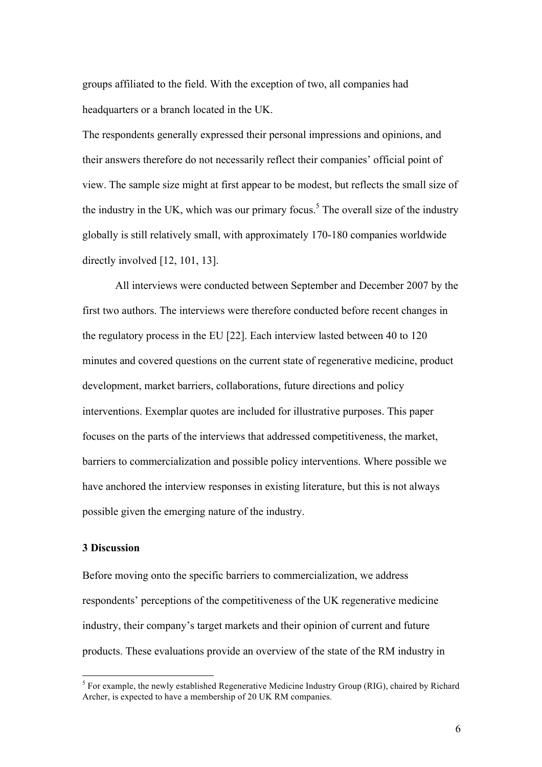groups affiliated to the field. With the exception of two, all companies had headquarters or a branch located in the UK.

The respondents generally expressed their personal impressions and opinions, and their answers therefore do not necessarily reflect their companies' official point of view. The sample size might at first appear to be modest, but reflects the small size of the industry in the UK, which was our primary focus.<sup>5</sup> The overall size of the industry globally is still relatively small, with approximately 170-180 companies worldwide directly involved [12, 101, 13].

All interviews were conducted between September and December 2007 by the first two authors. The interviews were therefore conducted before recent changes in the regulatory process in the EU [22]. Each interview lasted between 40 to 120 minutes and covered questions on the current state of regenerative medicine, product development, market barriers, collaborations, future directions and policy interventions. Exemplar quotes are included for illustrative purposes. This paper focuses on the parts of the interviews that addressed competitiveness, the market, barriers to commercialization and possible policy interventions. Where possible we have anchored the interview responses in existing literature, but this is not always possible given the emerging nature of the industry.

#### **3 Discussion**

Before moving onto the specific barriers to commercialization, we address respondents' perceptions of the competitiveness of the UK regenerative medicine industry, their company's target markets and their opinion of current and future products. These evaluations provide an overview of the state of the RM industry in

<sup>&</sup>lt;sup>5</sup> For example, the newly established Regenerative Medicine Industry Group (RIG), chaired by Richard Archer, is expected to have a membership of 20 UK RM companies.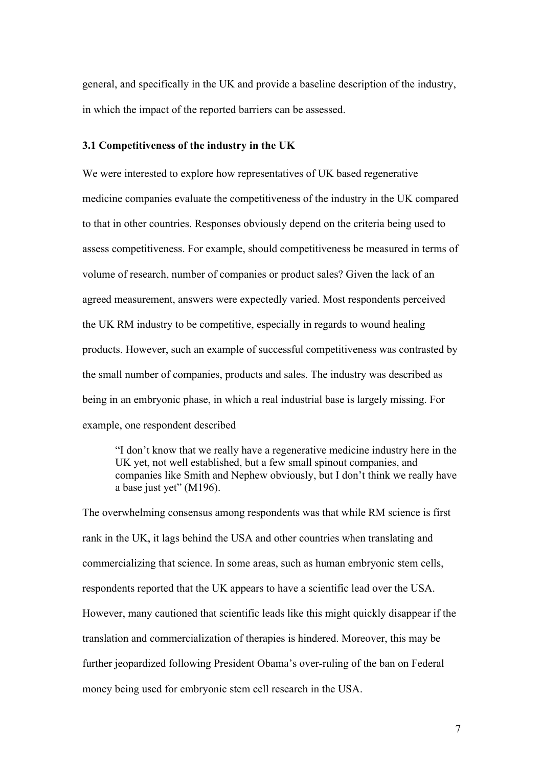general, and specifically in the UK and provide a baseline description of the industry, in which the impact of the reported barriers can be assessed.

#### **3.1 Competitiveness of the industry in the UK**

We were interested to explore how representatives of UK based regenerative medicine companies evaluate the competitiveness of the industry in the UK compared to that in other countries. Responses obviously depend on the criteria being used to assess competitiveness. For example, should competitiveness be measured in terms of volume of research, number of companies or product sales? Given the lack of an agreed measurement, answers were expectedly varied. Most respondents perceived the UK RM industry to be competitive, especially in regards to wound healing products. However, such an example of successful competitiveness was contrasted by the small number of companies, products and sales. The industry was described as being in an embryonic phase, in which a real industrial base is largely missing. For example, one respondent described

"I don't know that we really have a regenerative medicine industry here in the UK yet, not well established, but a few small spinout companies, and companies like Smith and Nephew obviously, but I don't think we really have a base just yet" (M196).

The overwhelming consensus among respondents was that while RM science is first rank in the UK, it lags behind the USA and other countries when translating and commercializing that science. In some areas, such as human embryonic stem cells, respondents reported that the UK appears to have a scientific lead over the USA. However, many cautioned that scientific leads like this might quickly disappear if the translation and commercialization of therapies is hindered. Moreover, this may be further jeopardized following President Obama's over-ruling of the ban on Federal money being used for embryonic stem cell research in the USA.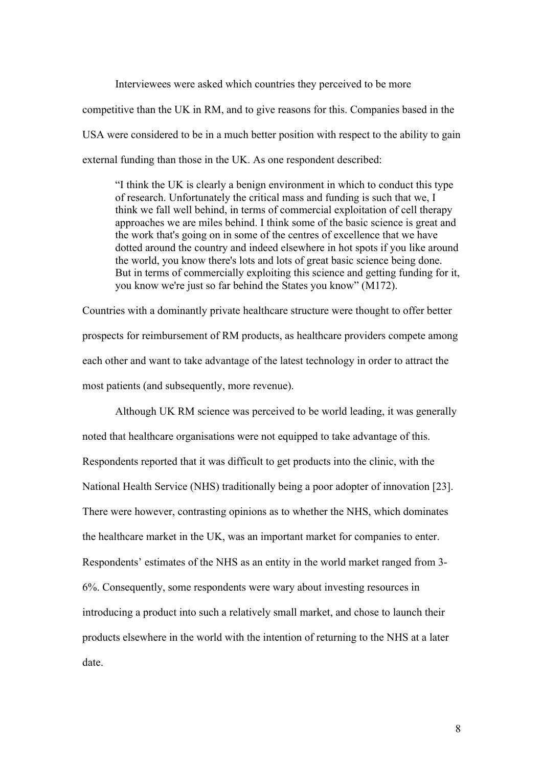Interviewees were asked which countries they perceived to be more competitive than the UK in RM, and to give reasons for this. Companies based in the USA were considered to be in a much better position with respect to the ability to gain external funding than those in the UK. As one respondent described:

"I think the UK is clearly a benign environment in which to conduct this type of research. Unfortunately the critical mass and funding is such that we, I think we fall well behind, in terms of commercial exploitation of cell therapy approaches we are miles behind. I think some of the basic science is great and the work that's going on in some of the centres of excellence that we have dotted around the country and indeed elsewhere in hot spots if you like around the world, you know there's lots and lots of great basic science being done. But in terms of commercially exploiting this science and getting funding for it, you know we're just so far behind the States you know" (M172).

Countries with a dominantly private healthcare structure were thought to offer better prospects for reimbursement of RM products, as healthcare providers compete among each other and want to take advantage of the latest technology in order to attract the most patients (and subsequently, more revenue).

Although UK RM science was perceived to be world leading, it was generally noted that healthcare organisations were not equipped to take advantage of this. Respondents reported that it was difficult to get products into the clinic, with the National Health Service (NHS) traditionally being a poor adopter of innovation [23]. There were however, contrasting opinions as to whether the NHS, which dominates the healthcare market in the UK, was an important market for companies to enter. Respondents' estimates of the NHS as an entity in the world market ranged from 3- 6%. Consequently, some respondents were wary about investing resources in introducing a product into such a relatively small market, and chose to launch their products elsewhere in the world with the intention of returning to the NHS at a later date.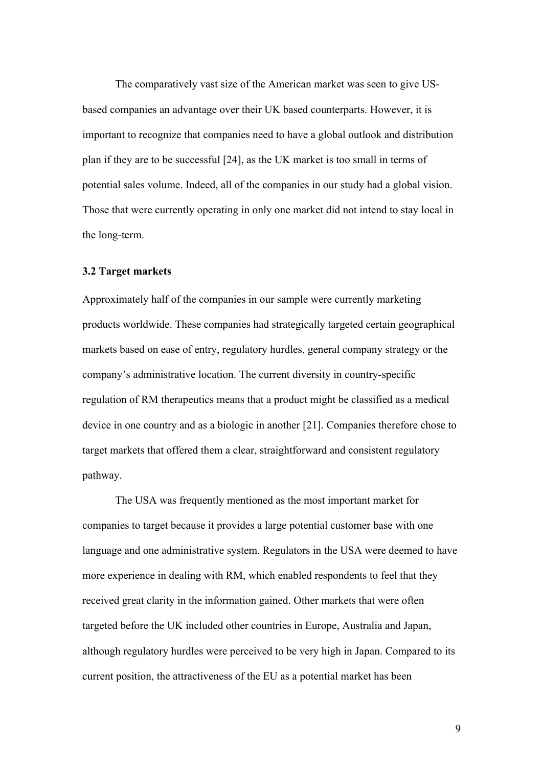The comparatively vast size of the American market was seen to give USbased companies an advantage over their UK based counterparts. However, it is important to recognize that companies need to have a global outlook and distribution plan if they are to be successful [24], as the UK market is too small in terms of potential sales volume. Indeed, all of the companies in our study had a global vision. Those that were currently operating in only one market did not intend to stay local in the long-term.

#### **3.2 Target markets**

Approximately half of the companies in our sample were currently marketing products worldwide. These companies had strategically targeted certain geographical markets based on ease of entry, regulatory hurdles, general company strategy or the company's administrative location. The current diversity in country-specific regulation of RM therapeutics means that a product might be classified as a medical device in one country and as a biologic in another [21]. Companies therefore chose to target markets that offered them a clear, straightforward and consistent regulatory pathway.

The USA was frequently mentioned as the most important market for companies to target because it provides a large potential customer base with one language and one administrative system. Regulators in the USA were deemed to have more experience in dealing with RM, which enabled respondents to feel that they received great clarity in the information gained. Other markets that were often targeted before the UK included other countries in Europe, Australia and Japan, although regulatory hurdles were perceived to be very high in Japan. Compared to its current position, the attractiveness of the EU as a potential market has been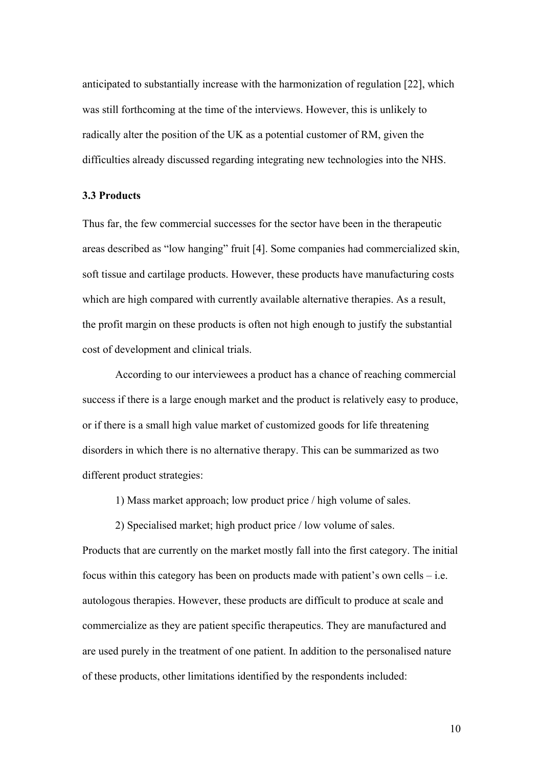anticipated to substantially increase with the harmonization of regulation [22], which was still forthcoming at the time of the interviews. However, this is unlikely to radically alter the position of the UK as a potential customer of RM, given the difficulties already discussed regarding integrating new technologies into the NHS.

## **3.3 Products**

Thus far, the few commercial successes for the sector have been in the therapeutic areas described as "low hanging" fruit [4]. Some companies had commercialized skin, soft tissue and cartilage products. However, these products have manufacturing costs which are high compared with currently available alternative therapies. As a result, the profit margin on these products is often not high enough to justify the substantial cost of development and clinical trials.

According to our interviewees a product has a chance of reaching commercial success if there is a large enough market and the product is relatively easy to produce, or if there is a small high value market of customized goods for life threatening disorders in which there is no alternative therapy. This can be summarized as two different product strategies:

1) Mass market approach; low product price / high volume of sales.

2) Specialised market; high product price / low volume of sales.

Products that are currently on the market mostly fall into the first category. The initial focus within this category has been on products made with patient's own cells – i.e. autologous therapies. However, these products are difficult to produce at scale and commercialize as they are patient specific therapeutics. They are manufactured and are used purely in the treatment of one patient. In addition to the personalised nature of these products, other limitations identified by the respondents included: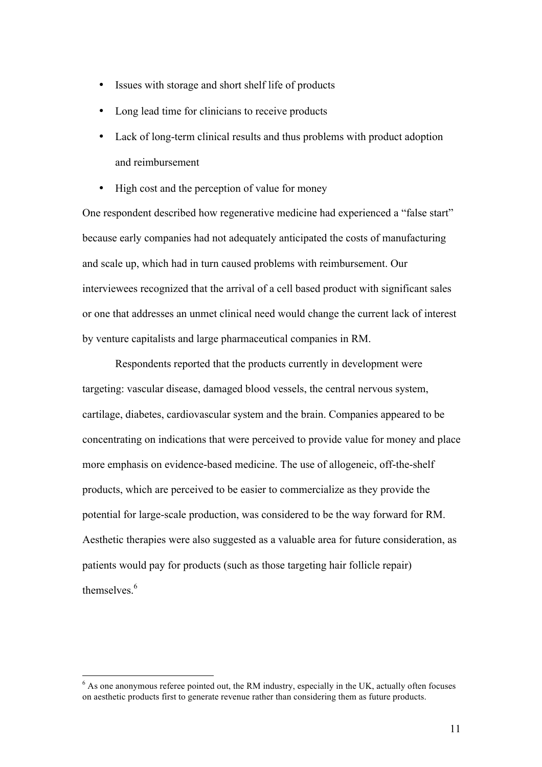- Issues with storage and short shelf life of products
- Long lead time for clinicians to receive products
- Lack of long-term clinical results and thus problems with product adoption and reimbursement
- High cost and the perception of value for money

One respondent described how regenerative medicine had experienced a "false start" because early companies had not adequately anticipated the costs of manufacturing and scale up, which had in turn caused problems with reimbursement. Our interviewees recognized that the arrival of a cell based product with significant sales or one that addresses an unmet clinical need would change the current lack of interest by venture capitalists and large pharmaceutical companies in RM.

Respondents reported that the products currently in development were targeting: vascular disease, damaged blood vessels, the central nervous system, cartilage, diabetes, cardiovascular system and the brain. Companies appeared to be concentrating on indications that were perceived to provide value for money and place more emphasis on evidence-based medicine. The use of allogeneic, off-the-shelf products, which are perceived to be easier to commercialize as they provide the potential for large-scale production, was considered to be the way forward for RM. Aesthetic therapies were also suggested as a valuable area for future consideration, as patients would pay for products (such as those targeting hair follicle repair) themselves.<sup>6</sup>

 $6$  As one anonymous referee pointed out, the RM industry, especially in the UK, actually often focuses on aesthetic products first to generate revenue rather than considering them as future products.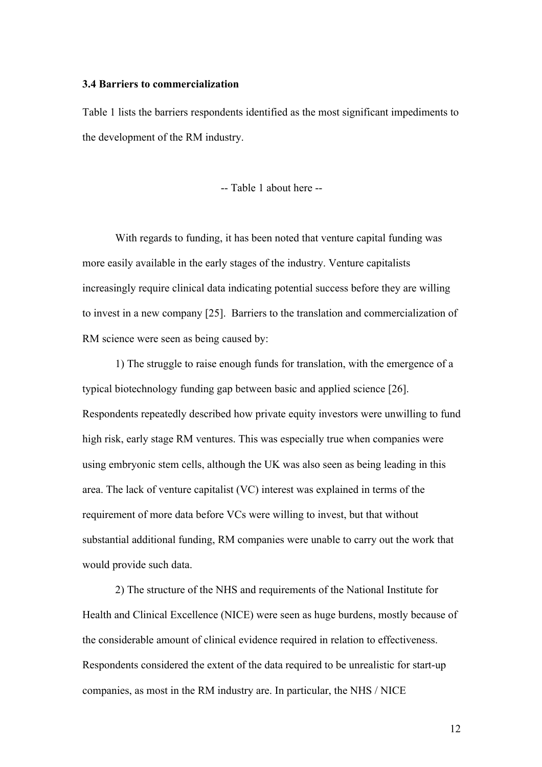#### **3.4 Barriers to commercialization**

Table 1 lists the barriers respondents identified as the most significant impediments to the development of the RM industry.

-- Table 1 about here --

With regards to funding, it has been noted that venture capital funding was more easily available in the early stages of the industry. Venture capitalists increasingly require clinical data indicating potential success before they are willing to invest in a new company [25]. Barriers to the translation and commercialization of RM science were seen as being caused by:

1) The struggle to raise enough funds for translation, with the emergence of a typical biotechnology funding gap between basic and applied science [26]. Respondents repeatedly described how private equity investors were unwilling to fund high risk, early stage RM ventures. This was especially true when companies were using embryonic stem cells, although the UK was also seen as being leading in this area. The lack of venture capitalist (VC) interest was explained in terms of the requirement of more data before VCs were willing to invest, but that without substantial additional funding, RM companies were unable to carry out the work that would provide such data.

2) The structure of the NHS and requirements of the National Institute for Health and Clinical Excellence (NICE) were seen as huge burdens, mostly because of the considerable amount of clinical evidence required in relation to effectiveness. Respondents considered the extent of the data required to be unrealistic for start-up companies, as most in the RM industry are. In particular, the NHS / NICE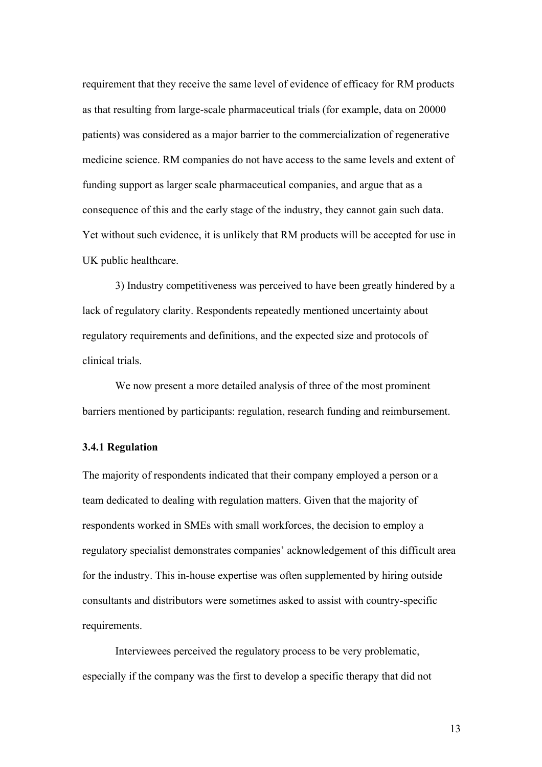requirement that they receive the same level of evidence of efficacy for RM products as that resulting from large-scale pharmaceutical trials (for example, data on 20000 patients) was considered as a major barrier to the commercialization of regenerative medicine science. RM companies do not have access to the same levels and extent of funding support as larger scale pharmaceutical companies, and argue that as a consequence of this and the early stage of the industry, they cannot gain such data. Yet without such evidence, it is unlikely that RM products will be accepted for use in UK public healthcare.

3) Industry competitiveness was perceived to have been greatly hindered by a lack of regulatory clarity. Respondents repeatedly mentioned uncertainty about regulatory requirements and definitions, and the expected size and protocols of clinical trials.

We now present a more detailed analysis of three of the most prominent barriers mentioned by participants: regulation, research funding and reimbursement.

#### **3.4.1 Regulation**

The majority of respondents indicated that their company employed a person or a team dedicated to dealing with regulation matters. Given that the majority of respondents worked in SMEs with small workforces, the decision to employ a regulatory specialist demonstrates companies' acknowledgement of this difficult area for the industry. This in-house expertise was often supplemented by hiring outside consultants and distributors were sometimes asked to assist with country-specific requirements.

Interviewees perceived the regulatory process to be very problematic, especially if the company was the first to develop a specific therapy that did not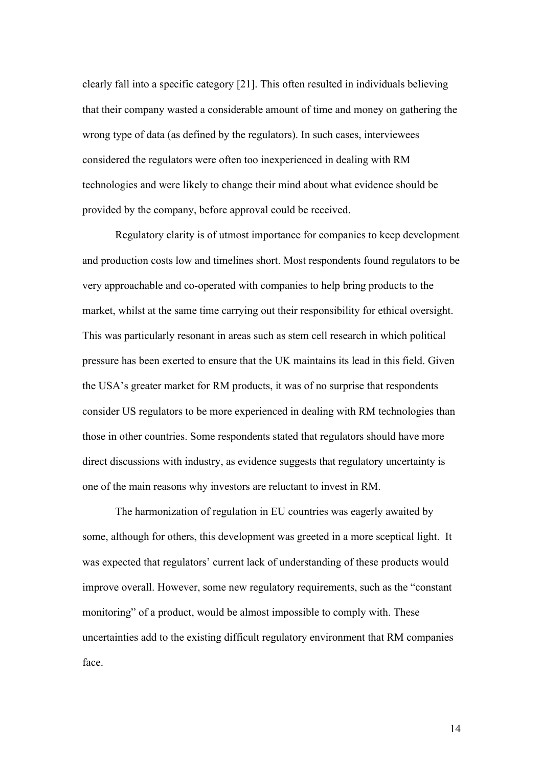clearly fall into a specific category [21]. This often resulted in individuals believing that their company wasted a considerable amount of time and money on gathering the wrong type of data (as defined by the regulators). In such cases, interviewees considered the regulators were often too inexperienced in dealing with RM technologies and were likely to change their mind about what evidence should be provided by the company, before approval could be received.

Regulatory clarity is of utmost importance for companies to keep development and production costs low and timelines short. Most respondents found regulators to be very approachable and co-operated with companies to help bring products to the market, whilst at the same time carrying out their responsibility for ethical oversight. This was particularly resonant in areas such as stem cell research in which political pressure has been exerted to ensure that the UK maintains its lead in this field. Given the USA's greater market for RM products, it was of no surprise that respondents consider US regulators to be more experienced in dealing with RM technologies than those in other countries. Some respondents stated that regulators should have more direct discussions with industry, as evidence suggests that regulatory uncertainty is one of the main reasons why investors are reluctant to invest in RM.

The harmonization of regulation in EU countries was eagerly awaited by some, although for others, this development was greeted in a more sceptical light. It was expected that regulators' current lack of understanding of these products would improve overall. However, some new regulatory requirements, such as the "constant monitoring" of a product, would be almost impossible to comply with. These uncertainties add to the existing difficult regulatory environment that RM companies face.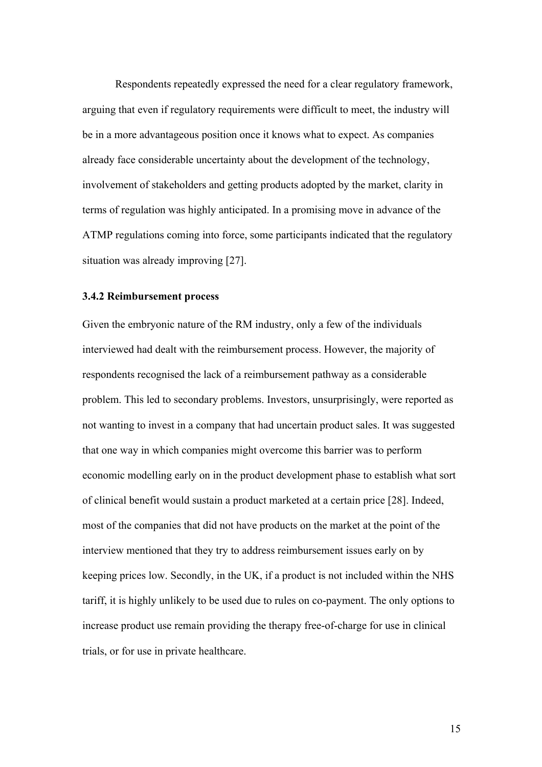Respondents repeatedly expressed the need for a clear regulatory framework, arguing that even if regulatory requirements were difficult to meet, the industry will be in a more advantageous position once it knows what to expect. As companies already face considerable uncertainty about the development of the technology, involvement of stakeholders and getting products adopted by the market, clarity in terms of regulation was highly anticipated. In a promising move in advance of the ATMP regulations coming into force, some participants indicated that the regulatory situation was already improving [27].

#### **3.4.2 Reimbursement process**

Given the embryonic nature of the RM industry, only a few of the individuals interviewed had dealt with the reimbursement process. However, the majority of respondents recognised the lack of a reimbursement pathway as a considerable problem. This led to secondary problems. Investors, unsurprisingly, were reported as not wanting to invest in a company that had uncertain product sales. It was suggested that one way in which companies might overcome this barrier was to perform economic modelling early on in the product development phase to establish what sort of clinical benefit would sustain a product marketed at a certain price [28]. Indeed, most of the companies that did not have products on the market at the point of the interview mentioned that they try to address reimbursement issues early on by keeping prices low. Secondly, in the UK, if a product is not included within the NHS tariff, it is highly unlikely to be used due to rules on co-payment. The only options to increase product use remain providing the therapy free-of-charge for use in clinical trials, or for use in private healthcare.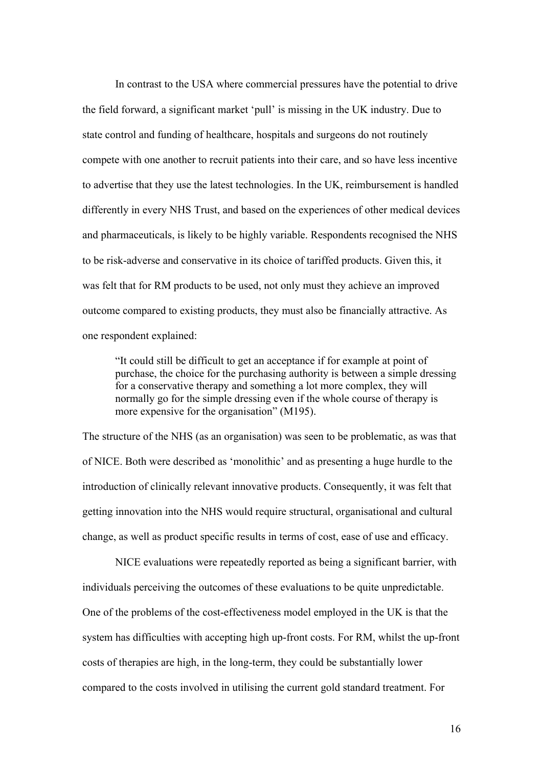In contrast to the USA where commercial pressures have the potential to drive the field forward, a significant market 'pull' is missing in the UK industry. Due to state control and funding of healthcare, hospitals and surgeons do not routinely compete with one another to recruit patients into their care, and so have less incentive to advertise that they use the latest technologies. In the UK, reimbursement is handled differently in every NHS Trust, and based on the experiences of other medical devices and pharmaceuticals, is likely to be highly variable. Respondents recognised the NHS to be risk-adverse and conservative in its choice of tariffed products. Given this, it was felt that for RM products to be used, not only must they achieve an improved outcome compared to existing products, they must also be financially attractive. As one respondent explained:

"It could still be difficult to get an acceptance if for example at point of purchase, the choice for the purchasing authority is between a simple dressing for a conservative therapy and something a lot more complex, they will normally go for the simple dressing even if the whole course of therapy is more expensive for the organisation" (M195).

The structure of the NHS (as an organisation) was seen to be problematic, as was that of NICE. Both were described as 'monolithic' and as presenting a huge hurdle to the introduction of clinically relevant innovative products. Consequently, it was felt that getting innovation into the NHS would require structural, organisational and cultural change, as well as product specific results in terms of cost, ease of use and efficacy.

NICE evaluations were repeatedly reported as being a significant barrier, with individuals perceiving the outcomes of these evaluations to be quite unpredictable. One of the problems of the cost-effectiveness model employed in the UK is that the system has difficulties with accepting high up-front costs. For RM, whilst the up-front costs of therapies are high, in the long-term, they could be substantially lower compared to the costs involved in utilising the current gold standard treatment. For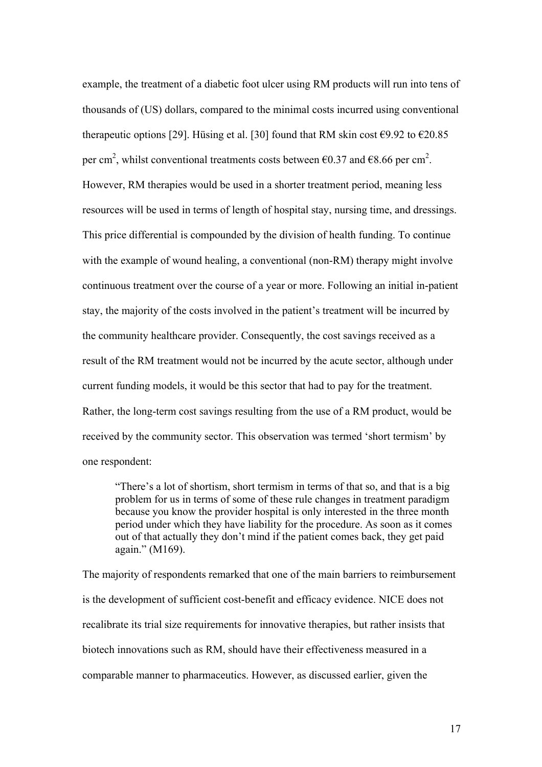example, the treatment of a diabetic foot ulcer using RM products will run into tens of thousands of (US) dollars, compared to the minimal costs incurred using conventional therapeutic options [29]. Hüsing et al. [30] found that RM skin cost  $\epsilon$ 9.92 to  $\epsilon$ 20.85 per cm<sup>2</sup>, whilst conventional treatments costs between  $\epsilon$ 0.37 and  $\epsilon$ 8.66 per cm<sup>2</sup>. However, RM therapies would be used in a shorter treatment period, meaning less resources will be used in terms of length of hospital stay, nursing time, and dressings. This price differential is compounded by the division of health funding. To continue with the example of wound healing, a conventional (non-RM) therapy might involve continuous treatment over the course of a year or more. Following an initial in-patient stay, the majority of the costs involved in the patient's treatment will be incurred by the community healthcare provider. Consequently, the cost savings received as a result of the RM treatment would not be incurred by the acute sector, although under current funding models, it would be this sector that had to pay for the treatment. Rather, the long-term cost savings resulting from the use of a RM product, would be received by the community sector. This observation was termed 'short termism' by one respondent:

"There's a lot of shortism, short termism in terms of that so, and that is a big problem for us in terms of some of these rule changes in treatment paradigm because you know the provider hospital is only interested in the three month period under which they have liability for the procedure. As soon as it comes out of that actually they don't mind if the patient comes back, they get paid again." (M169).

The majority of respondents remarked that one of the main barriers to reimbursement is the development of sufficient cost-benefit and efficacy evidence. NICE does not recalibrate its trial size requirements for innovative therapies, but rather insists that biotech innovations such as RM, should have their effectiveness measured in a comparable manner to pharmaceutics. However, as discussed earlier, given the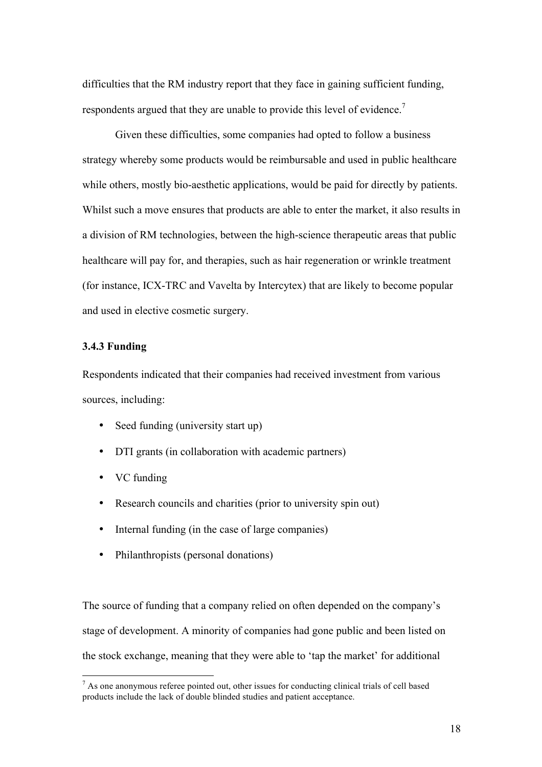difficulties that the RM industry report that they face in gaining sufficient funding, respondents argued that they are unable to provide this level of evidence.<sup>7</sup>

Given these difficulties, some companies had opted to follow a business strategy whereby some products would be reimbursable and used in public healthcare while others, mostly bio-aesthetic applications, would be paid for directly by patients. Whilst such a move ensures that products are able to enter the market, it also results in a division of RM technologies, between the high-science therapeutic areas that public healthcare will pay for, and therapies, such as hair regeneration or wrinkle treatment (for instance, ICX-TRC and Vavelta by Intercytex) that are likely to become popular and used in elective cosmetic surgery.

#### **3.4.3 Funding**

Respondents indicated that their companies had received investment from various sources, including:

- Seed funding (university start up)
- DTI grants (in collaboration with academic partners)
- VC funding
- Research councils and charities (prior to university spin out)
- Internal funding (in the case of large companies)
- Philanthropists (personal donations)

The source of funding that a company relied on often depended on the company's stage of development. A minority of companies had gone public and been listed on the stock exchange, meaning that they were able to 'tap the market' for additional

 $<sup>7</sup>$  As one anonymous referee pointed out, other issues for conducting clinical trials of cell based</sup> products include the lack of double blinded studies and patient acceptance.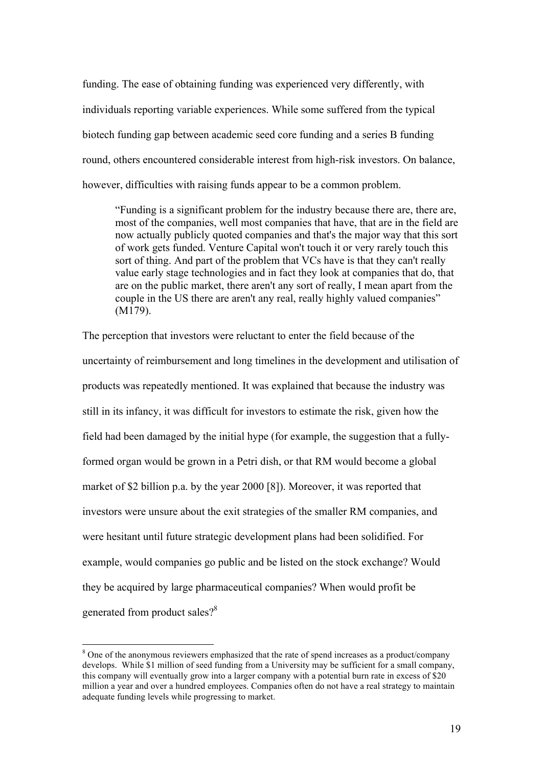funding. The ease of obtaining funding was experienced very differently, with individuals reporting variable experiences. While some suffered from the typical biotech funding gap between academic seed core funding and a series B funding round, others encountered considerable interest from high-risk investors. On balance, however, difficulties with raising funds appear to be a common problem.

"Funding is a significant problem for the industry because there are, there are, most of the companies, well most companies that have, that are in the field are now actually publicly quoted companies and that's the major way that this sort of work gets funded. Venture Capital won't touch it or very rarely touch this sort of thing. And part of the problem that VCs have is that they can't really value early stage technologies and in fact they look at companies that do, that are on the public market, there aren't any sort of really, I mean apart from the couple in the US there are aren't any real, really highly valued companies" (M179).

The perception that investors were reluctant to enter the field because of the uncertainty of reimbursement and long timelines in the development and utilisation of products was repeatedly mentioned. It was explained that because the industry was still in its infancy, it was difficult for investors to estimate the risk, given how the field had been damaged by the initial hype (for example, the suggestion that a fullyformed organ would be grown in a Petri dish, or that RM would become a global market of \$2 billion p.a. by the year 2000 [8]). Moreover, it was reported that investors were unsure about the exit strategies of the smaller RM companies, and were hesitant until future strategic development plans had been solidified. For example, would companies go public and be listed on the stock exchange? Would they be acquired by large pharmaceutical companies? When would profit be generated from product sales?<sup>8</sup>

<sup>&</sup>lt;sup>8</sup> One of the anonymous reviewers emphasized that the rate of spend increases as a product/company develops. While \$1 million of seed funding from a University may be sufficient for a small company, this company will eventually grow into a larger company with a potential burn rate in excess of \$20 million a year and over a hundred employees. Companies often do not have a real strategy to maintain adequate funding levels while progressing to market.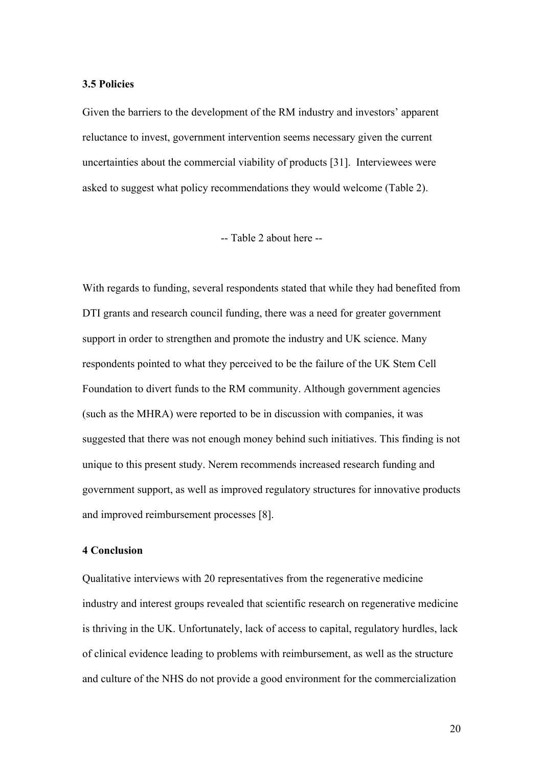#### **3.5 Policies**

Given the barriers to the development of the RM industry and investors' apparent reluctance to invest, government intervention seems necessary given the current uncertainties about the commercial viability of products [31]. Interviewees were asked to suggest what policy recommendations they would welcome (Table 2).

-- Table 2 about here --

With regards to funding, several respondents stated that while they had benefited from DTI grants and research council funding, there was a need for greater government support in order to strengthen and promote the industry and UK science. Many respondents pointed to what they perceived to be the failure of the UK Stem Cell Foundation to divert funds to the RM community. Although government agencies (such as the MHRA) were reported to be in discussion with companies, it was suggested that there was not enough money behind such initiatives. This finding is not unique to this present study. Nerem recommends increased research funding and government support, as well as improved regulatory structures for innovative products and improved reimbursement processes [8].

#### **4 Conclusion**

Qualitative interviews with 20 representatives from the regenerative medicine industry and interest groups revealed that scientific research on regenerative medicine is thriving in the UK. Unfortunately, lack of access to capital, regulatory hurdles, lack of clinical evidence leading to problems with reimbursement, as well as the structure and culture of the NHS do not provide a good environment for the commercialization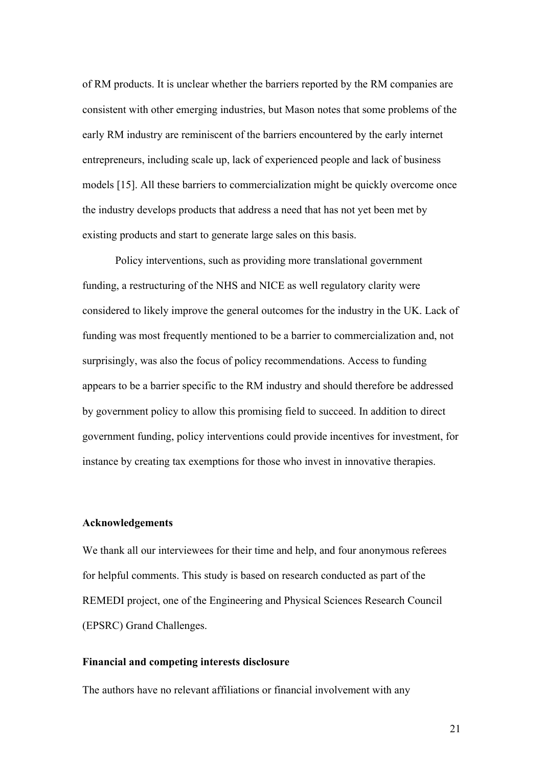of RM products. It is unclear whether the barriers reported by the RM companies are consistent with other emerging industries, but Mason notes that some problems of the early RM industry are reminiscent of the barriers encountered by the early internet entrepreneurs, including scale up, lack of experienced people and lack of business models [15]. All these barriers to commercialization might be quickly overcome once the industry develops products that address a need that has not yet been met by existing products and start to generate large sales on this basis.

Policy interventions, such as providing more translational government funding, a restructuring of the NHS and NICE as well regulatory clarity were considered to likely improve the general outcomes for the industry in the UK. Lack of funding was most frequently mentioned to be a barrier to commercialization and, not surprisingly, was also the focus of policy recommendations. Access to funding appears to be a barrier specific to the RM industry and should therefore be addressed by government policy to allow this promising field to succeed. In addition to direct government funding, policy interventions could provide incentives for investment, for instance by creating tax exemptions for those who invest in innovative therapies.

## **Acknowledgements**

We thank all our interviewees for their time and help, and four anonymous referees for helpful comments. This study is based on research conducted as part of the REMEDI project, one of the Engineering and Physical Sciences Research Council (EPSRC) Grand Challenges.

#### **Financial and competing interests disclosure**

The authors have no relevant affiliations or financial involvement with any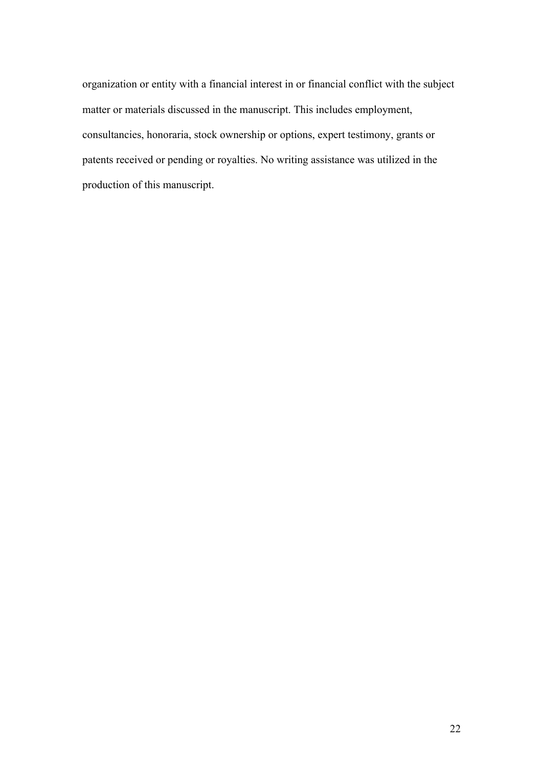organization or entity with a financial interest in or financial conflict with the subject matter or materials discussed in the manuscript. This includes employment, consultancies, honoraria, stock ownership or options, expert testimony, grants or patents received or pending or royalties. No writing assistance was utilized in the production of this manuscript.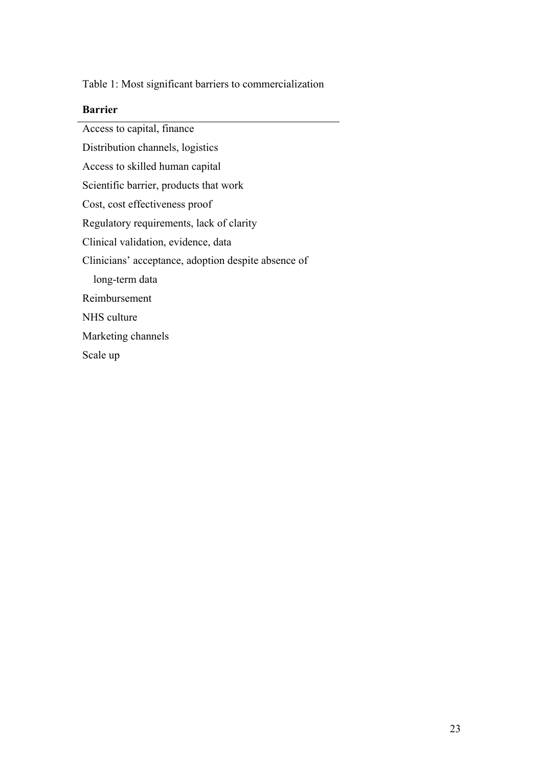Table 1: Most significant barriers to commercialization

## **Barrier**

Access to capital, finance Distribution channels, logistics Access to skilled human capital Scientific barrier, products that work Cost, cost effectiveness proof Regulatory requirements, lack of clarity Clinical validation, evidence, data Clinicians' acceptance, adoption despite absence of long-term data Reimbursement NHS culture Marketing channels Scale up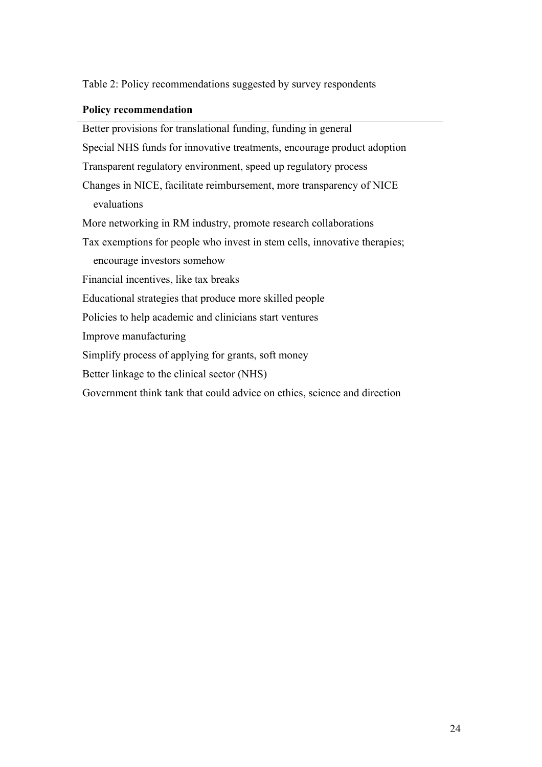Table 2: Policy recommendations suggested by survey respondents

## **Policy recommendation**

Better provisions for translational funding, funding in general Special NHS funds for innovative treatments, encourage product adoption Transparent regulatory environment, speed up regulatory process Changes in NICE, facilitate reimbursement, more transparency of NICE evaluations More networking in RM industry, promote research collaborations Tax exemptions for people who invest in stem cells, innovative therapies; encourage investors somehow Financial incentives, like tax breaks Educational strategies that produce more skilled people Policies to help academic and clinicians start ventures Improve manufacturing Simplify process of applying for grants, soft money Better linkage to the clinical sector (NHS) Government think tank that could advice on ethics, science and direction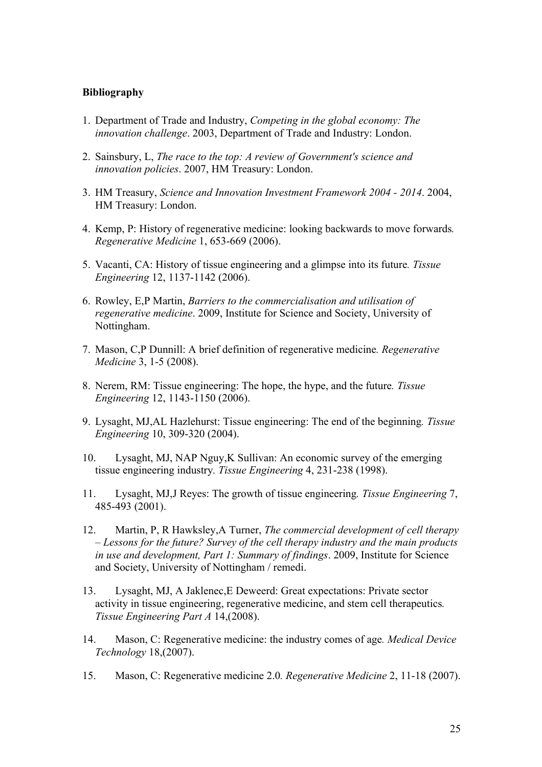## **Bibliography**

- 1. Department of Trade and Industry, *Competing in the global economy: The innovation challenge*. 2003, Department of Trade and Industry: London.
- 2. Sainsbury, L, *The race to the top: A review of Government's science and innovation policies*. 2007, HM Treasury: London.
- 3. HM Treasury, *Science and Innovation Investment Framework 2004 - 2014*. 2004, HM Treasury: London.
- 4. Kemp, P: History of regenerative medicine: looking backwards to move forwards*. Regenerative Medicine* 1, 653-669 (2006).
- 5. Vacanti, CA: History of tissue engineering and a glimpse into its future*. Tissue Engineering* 12, 1137-1142 (2006).
- 6. Rowley, E,P Martin, *Barriers to the commercialisation and utilisation of regenerative medicine*. 2009, Institute for Science and Society, University of Nottingham.
- 7. Mason, C,P Dunnill: A brief definition of regenerative medicine*. Regenerative Medicine* 3, 1-5 (2008).
- 8. Nerem, RM: Tissue engineering: The hope, the hype, and the future*. Tissue Engineering* 12, 1143-1150 (2006).
- 9. Lysaght, MJ,AL Hazlehurst: Tissue engineering: The end of the beginning*. Tissue Engineering* 10, 309-320 (2004).
- 10. Lysaght, MJ, NAP Nguy,K Sullivan: An economic survey of the emerging tissue engineering industry*. Tissue Engineering* 4, 231-238 (1998).
- 11. Lysaght, MJ,J Reyes: The growth of tissue engineering*. Tissue Engineering* 7, 485-493 (2001).
- 12. Martin, P, R Hawksley,A Turner, *The commercial development of cell therapy – Lessons for the future? Survey of the cell therapy industry and the main products in use and development, Part 1: Summary of findings*. 2009, Institute for Science and Society, University of Nottingham / remedi.
- 13. Lysaght, MJ, A Jaklenec,E Deweerd: Great expectations: Private sector activity in tissue engineering, regenerative medicine, and stem cell therapeutics*. Tissue Engineering Part A* 14,(2008).
- 14. Mason, C: Regenerative medicine: the industry comes of age*. Medical Device Technology* 18,(2007).
- 15. Mason, C: Regenerative medicine 2.0*. Regenerative Medicine* 2, 11-18 (2007).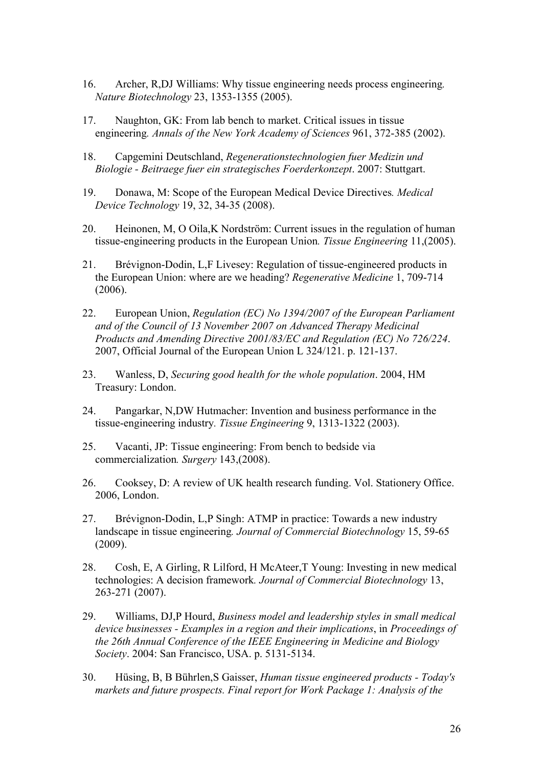- 16. Archer, R,DJ Williams: Why tissue engineering needs process engineering*. Nature Biotechnology* 23, 1353-1355 (2005).
- 17. Naughton, GK: From lab bench to market. Critical issues in tissue engineering*. Annals of the New York Academy of Sciences* 961, 372-385 (2002).
- 18. Capgemini Deutschland, *Regenerationstechnologien fuer Medizin und Biologie - Beitraege fuer ein strategisches Foerderkonzept*. 2007: Stuttgart.
- 19. Donawa, M: Scope of the European Medical Device Directives*. Medical Device Technology* 19, 32, 34-35 (2008).
- 20. Heinonen, M, O Oila,K Nordström: Current issues in the regulation of human tissue-engineering products in the European Union*. Tissue Engineering* 11,(2005).
- 21. Brévignon-Dodin, L,F Livesey: Regulation of tissue-engineered products in the European Union: where are we heading? *Regenerative Medicine* 1, 709-714 (2006).
- 22. European Union, *Regulation (EC) No 1394/2007 of the European Parliament and of the Council of 13 November 2007 on Advanced Therapy Medicinal Products and Amending Directive 2001/83/EC and Regulation (EC) No 726/224*. 2007, Official Journal of the European Union L 324/121. p. 121-137.
- 23. Wanless, D, *Securing good health for the whole population*. 2004, HM Treasury: London.
- 24. Pangarkar, N,DW Hutmacher: Invention and business performance in the tissue-engineering industry*. Tissue Engineering* 9, 1313-1322 (2003).
- 25. Vacanti, JP: Tissue engineering: From bench to bedside via commercialization*. Surgery* 143,(2008).
- 26. Cooksey, D: A review of UK health research funding. Vol. Stationery Office. 2006, London.
- 27. Brévignon-Dodin, L,P Singh: ATMP in practice: Towards a new industry landscape in tissue engineering*. Journal of Commercial Biotechnology* 15, 59-65 (2009).
- 28. Cosh, E, A Girling, R Lilford, H McAteer,T Young: Investing in new medical technologies: A decision framework*. Journal of Commercial Biotechnology* 13, 263-271 (2007).
- 29. Williams, DJ,P Hourd, *Business model and leadership styles in small medical device businesses - Examples in a region and their implications*, in *Proceedings of the 26th Annual Conference of the IEEE Engineering in Medicine and Biology Society*. 2004: San Francisco, USA. p. 5131-5134.
- 30. Hüsing, B, B Bührlen,S Gaisser, *Human tissue engineered products - Today's markets and future prospects. Final report for Work Package 1: Analysis of the*